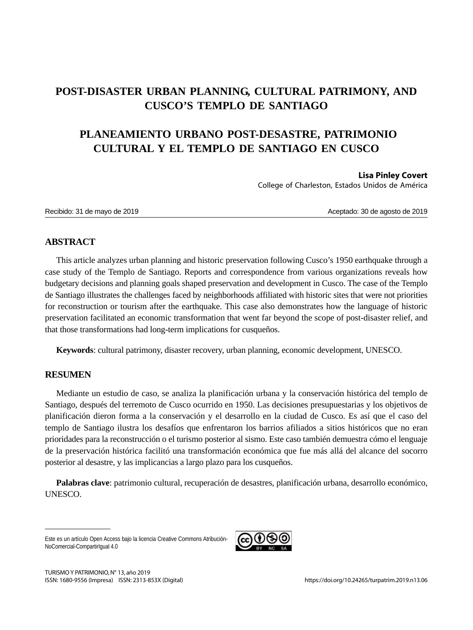## **POST-DISASTER URBAN PLANNING, CULTURAL PATRIMONY, AND CUSCO'S TEMPLO DE SANTIAGO**

# **PLANEAMIENTO URBANO POST-DESASTRE, PATRIMONIO CULTURAL Y EL TEMPLO DE SANTIAGO EN CUSCO**

#### **Lisa Pinley Covert**

College of Charleston, Estados Unidos de América

Recibido: 31 de mayo de 2019  $\blacksquare$ 

## **ABSTRACT**

This article analyzes urban planning and historic preservation following Cusco's 1950 earthquake through a case study of the Templo de Santiago. Reports and correspondence from various organizations reveals how budgetary decisions and planning goals shaped preservation and development in Cusco. The case of the Templo de Santiago illustrates the challenges faced by neighborhoods affiliated with historic sites that were not priorities for reconstruction or tourism after the earthquake. This case also demonstrates how the language of historic preservation facilitated an economic transformation that went far beyond the scope of post-disaster relief, and that those transformations had long-term implications for cusqueños.

**Keywords**: cultural patrimony, disaster recovery, urban planning, economic development, UNESCO.

## **RESUMEN**

Mediante un estudio de caso, se analiza la planificación urbana y la conservación histórica del templo de Santiago, después del terremoto de Cusco ocurrido en 1950. Las decisiones presupuestarias y los objetivos de planificación dieron forma a la conservación y el desarrollo en la ciudad de Cusco. Es así que el caso del templo de Santiago ilustra los desafíos que enfrentaron los barrios afiliados a sitios históricos que no eran prioridades para la reconstrucción o el turismo posterior al sismo. Este caso también demuestra cómo el lenguaje de la preservación histórica facilitó una transformación económica que fue más allá del alcance del socorro posterior al desastre, y las implicancias a largo plazo para los cusqueños.

**Palabras clave**: patrimonio cultural, recuperación de desastres, planificación urbana, desarrollo económico, UNESCO.

Este es un artículo Open Access bajo la licencia Creative Commons Atribución-NoComercial-CompartirIgual 4.0

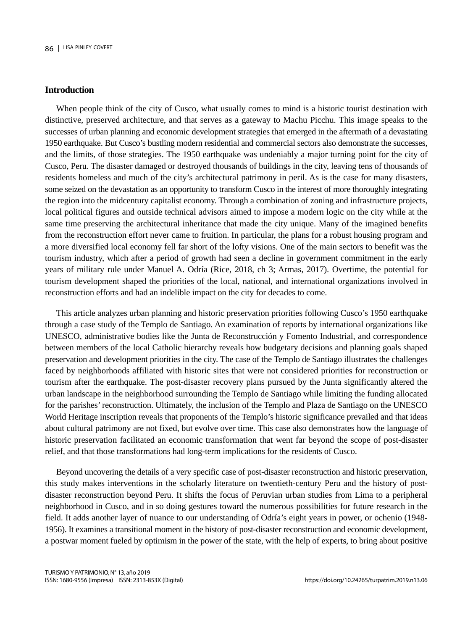#### **Introduction**

When people think of the city of Cusco, what usually comes to mind is a historic tourist destination with distinctive, preserved architecture, and that serves as a gateway to Machu Picchu. This image speaks to the successes of urban planning and economic development strategies that emerged in the aftermath of a devastating 1950 earthquake. But Cusco's bustling modern residential and commercial sectors also demonstrate the successes, and the limits, of those strategies. The 1950 earthquake was undeniably a major turning point for the city of Cusco, Peru. The disaster damaged or destroyed thousands of buildings in the city, leaving tens of thousands of residents homeless and much of the city's architectural patrimony in peril. As is the case for many disasters, some seized on the devastation as an opportunity to transform Cusco in the interest of more thoroughly integrating the region into the midcentury capitalist economy. Through a combination of zoning and infrastructure projects, local political figures and outside technical advisors aimed to impose a modern logic on the city while at the same time preserving the architectural inheritance that made the city unique. Many of the imagined benefits from the reconstruction effort never came to fruition. In particular, the plans for a robust housing program and a more diversified local economy fell far short of the lofty visions. One of the main sectors to benefit was the tourism industry, which after a period of growth had seen a decline in government commitment in the early years of military rule under Manuel A. Odría (Rice, 2018, ch 3; Armas, 2017). Overtime, the potential for tourism development shaped the priorities of the local, national, and international organizations involved in reconstruction efforts and had an indelible impact on the city for decades to come.

This article analyzes urban planning and historic preservation priorities following Cusco's 1950 earthquake through a case study of the Templo de Santiago. An examination of reports by international organizations like UNESCO, administrative bodies like the Junta de Reconstrucción y Fomento Industrial, and correspondence between members of the local Catholic hierarchy reveals how budgetary decisions and planning goals shaped preservation and development priorities in the city. The case of the Templo de Santiago illustrates the challenges faced by neighborhoods affiliated with historic sites that were not considered priorities for reconstruction or tourism after the earthquake. The post-disaster recovery plans pursued by the Junta significantly altered the urban landscape in the neighborhood surrounding the Templo de Santiago while limiting the funding allocated for the parishes' reconstruction. Ultimately, the inclusion of the Templo and Plaza de Santiago on the UNESCO World Heritage inscription reveals that proponents of the Templo's historic significance prevailed and that ideas about cultural patrimony are not fixed, but evolve over time. This case also demonstrates how the language of historic preservation facilitated an economic transformation that went far beyond the scope of post-disaster relief, and that those transformations had long-term implications for the residents of Cusco.

Beyond uncovering the details of a very specific case of post-disaster reconstruction and historic preservation, this study makes interventions in the scholarly literature on twentieth-century Peru and the history of postdisaster reconstruction beyond Peru. It shifts the focus of Peruvian urban studies from Lima to a peripheral neighborhood in Cusco, and in so doing gestures toward the numerous possibilities for future research in the field. It adds another layer of nuance to our understanding of Odría's eight years in power, or ochenio (1948- 1956). It examines a transitional moment in the history of post-disaster reconstruction and economic development, a postwar moment fueled by optimism in the power of the state, with the help of experts, to bring about positive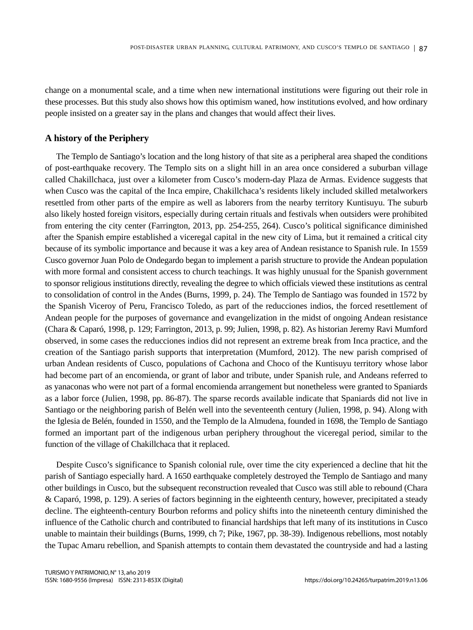change on a monumental scale, and a time when new international institutions were figuring out their role in these processes. But this study also shows how this optimism waned, how institutions evolved, and how ordinary people insisted on a greater say in the plans and changes that would affect their lives.

#### **A history of the Periphery**

The Templo de Santiago's location and the long history of that site as a peripheral area shaped the conditions of post-earthquake recovery. The Templo sits on a slight hill in an area once considered a suburban village called Chakillchaca, just over a kilometer from Cusco's modern-day Plaza de Armas. Evidence suggests that when Cusco was the capital of the Inca empire, Chakillchaca's residents likely included skilled metalworkers resettled from other parts of the empire as well as laborers from the nearby territory Kuntisuyu. The suburb also likely hosted foreign visitors, especially during certain rituals and festivals when outsiders were prohibited from entering the city center (Farrington, 2013, pp. 254-255, 264). Cusco's political significance diminished after the Spanish empire established a viceregal capital in the new city of Lima, but it remained a critical city because of its symbolic importance and because it was a key area of Andean resistance to Spanish rule. In 1559 Cusco governor Juan Polo de Ondegardo began to implement a parish structure to provide the Andean population with more formal and consistent access to church teachings. It was highly unusual for the Spanish government to sponsor religious institutions directly, revealing the degree to which officials viewed these institutions as central to consolidation of control in the Andes (Burns, 1999, p. 24). The Templo de Santiago was founded in 1572 by the Spanish Viceroy of Peru, Francisco Toledo, as part of the reducciones indios, the forced resettlement of Andean people for the purposes of governance and evangelization in the midst of ongoing Andean resistance (Chara & Caparó, 1998, p. 129; Farrington, 2013, p. 99; Julien, 1998, p. 82). As historian Jeremy Ravi Mumford observed, in some cases the reducciones indios did not represent an extreme break from Inca practice, and the creation of the Santiago parish supports that interpretation (Mumford, 2012). The new parish comprised of urban Andean residents of Cusco, populations of Cachona and Choco of the Kuntisuyu territory whose labor had become part of an encomienda, or grant of labor and tribute, under Spanish rule, and Andeans referred to as yanaconas who were not part of a formal encomienda arrangement but nonetheless were granted to Spaniards as a labor force (Julien, 1998, pp. 86-87). The sparse records available indicate that Spaniards did not live in Santiago or the neighboring parish of Belén well into the seventeenth century (Julien, 1998, p. 94). Along with the Iglesia de Belén, founded in 1550, and the Templo de la Almudena, founded in 1698, the Templo de Santiago formed an important part of the indigenous urban periphery throughout the viceregal period, similar to the function of the village of Chakillchaca that it replaced.

Despite Cusco's significance to Spanish colonial rule, over time the city experienced a decline that hit the parish of Santiago especially hard. A 1650 earthquake completely destroyed the Templo de Santiago and many other buildings in Cusco, but the subsequent reconstruction revealed that Cusco was still able to rebound (Chara & Caparó, 1998, p. 129). A series of factors beginning in the eighteenth century, however, precipitated a steady decline. The eighteenth-century Bourbon reforms and policy shifts into the nineteenth century diminished the influence of the Catholic church and contributed to financial hardships that left many of its institutions in Cusco unable to maintain their buildings (Burns, 1999, ch 7; Pike, 1967, pp. 38-39). Indigenous rebellions, most notably the Tupac Amaru rebellion, and Spanish attempts to contain them devastated the countryside and had a lasting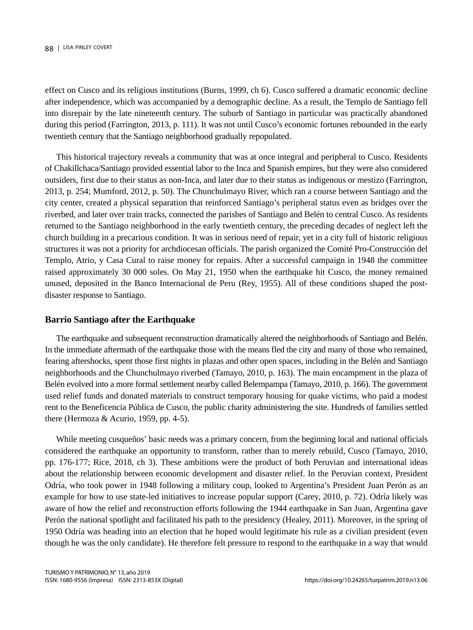effect on Cusco and its religious institutions (Burns, 1999, ch 6). Cusco suffered a dramatic economic decline after independence, which was accompanied by a demographic decline. As a result, the Templo de Santiago fell into disrepair by the late nineteenth century. The suburb of Santiago in particular was practically abandoned during this period (Farrington, 2013, p. 111). It was not until Cusco's economic fortunes rebounded in the early twentieth century that the Santiago neighborhood gradually repopulated.

This historical trajectory reveals a community that was at once integral and peripheral to Cusco. Residents of Chakillchaca/Santiago provided essential labor to the Inca and Spanish empires, but they were also considered outsiders, first due to their status as non-Inca, and later due to their status as indigenous or mestizo (Farrington, 2013, p. 254; Mumford, 2012, p. 50). The Chunchulmayo River, which ran a course between Santiago and the city center, created a physical separation that reinforced Santiago's peripheral status even as bridges over the riverbed, and later over train tracks, connected the parishes of Santiago and Belén to central Cusco. As residents returned to the Santiago neighborhood in the early twentieth century, the preceding decades of neglect left the church building in a precarious condition. It was in serious need of repair, yet in a city full of historic religious structures it was not a priority for archdiocesan officials. The parish organized the Comité Pro-Construcción del Templo, Atrio, y Casa Cural to raise money for repairs. After a successful campaign in 1948 the committee raised approximately 30 000 soles. On May 21, 1950 when the earthquake hit Cusco, the money remained unused, deposited in the Banco Internacional de Peru (Rey, 1955). All of these conditions shaped the postdisaster response to Santiago.

#### **Barrio Santiago after the Earthquake**

The earthquake and subsequent reconstruction dramatically altered the neighborhoods of Santiago and Belén. In the immediate aftermath of the earthquake those with the means fled the city and many of those who remained, fearing aftershocks, spent those first nights in plazas and other open spaces, including in the Belén and Santiago neighborhoods and the Chunchulmayo riverbed (Tamayo, 2010, p. 163). The main encampment in the plaza of Belén evolved into a more formal settlement nearby called Belempampa (Tamayo, 2010, p. 166). The government used relief funds and donated materials to construct temporary housing for quake victims, who paid a modest rent to the Beneficencia Pública de Cusco, the public charity administering the site. Hundreds of families settled there (Hermoza & Acurio, 1959, pp. 4-5).

While meeting cusqueños' basic needs was a primary concern, from the beginning local and national officials considered the earthquake an opportunity to transform, rather than to merely rebuild, Cusco (Tamayo, 2010, pp. 176-177; Rice, 2018, ch 3). These ambitions were the product of both Peruvian and international ideas about the relationship between economic development and disaster relief. In the Peruvian context, President Odría, who took power in 1948 following a military coup, looked to Argentina's President Juan Perón as an example for how to use state-led initiatives to increase popular support (Carey, 2010, p. 72). Odría likely was aware of how the relief and reconstruction efforts following the 1944 earthquake in San Juan, Argentina gave Perón the national spotlight and facilitated his path to the presidency (Healey, 2011). Moreover, in the spring of 1950 Odría was heading into an election that he hoped would legitimate his rule as a civilian president (even though he was the only candidate). He therefore felt pressure to respond to the earthquake in a way that would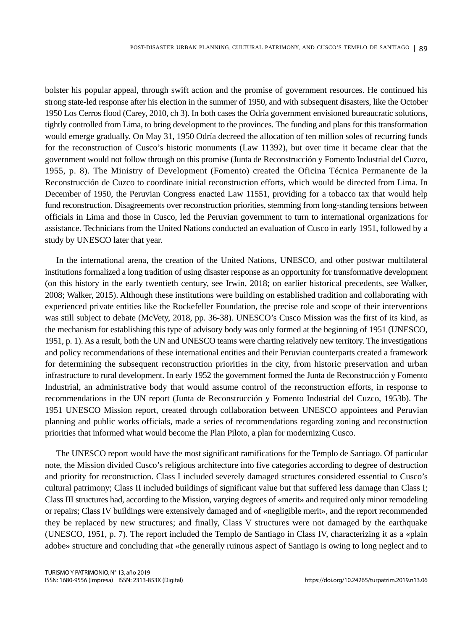bolster his popular appeal, through swift action and the promise of government resources. He continued his strong state-led response after his election in the summer of 1950, and with subsequent disasters, like the October 1950 Los Cerros flood (Carey, 2010, ch 3). In both cases the Odría government envisioned bureaucratic solutions, tightly controlled from Lima, to bring development to the provinces. The funding and plans for this transformation would emerge gradually. On May 31, 1950 Odría decreed the allocation of ten million soles of recurring funds for the reconstruction of Cusco's historic monuments (Law 11392), but over time it became clear that the government would not follow through on this promise (Junta de Reconstrucción y Fomento Industrial del Cuzco, 1955, p. 8). The Ministry of Development (Fomento) created the Oficina Técnica Permanente de la Reconstrucción de Cuzco to coordinate initial reconstruction efforts, which would be directed from Lima. In December of 1950, the Peruvian Congress enacted Law 11551, providing for a tobacco tax that would help fund reconstruction. Disagreements over reconstruction priorities, stemming from long-standing tensions between officials in Lima and those in Cusco, led the Peruvian government to turn to international organizations for assistance. Technicians from the United Nations conducted an evaluation of Cusco in early 1951, followed by a study by UNESCO later that year.

In the international arena, the creation of the United Nations, UNESCO, and other postwar multilateral institutions formalized a long tradition of using disaster response as an opportunity for transformative development (on this history in the early twentieth century, see Irwin, 2018; on earlier historical precedents, see Walker, 2008; Walker, 2015). Although these institutions were building on established tradition and collaborating with experienced private entities like the Rockefeller Foundation, the precise role and scope of their interventions was still subject to debate (McVety, 2018, pp. 36-38). UNESCO's Cusco Mission was the first of its kind, as the mechanism for establishing this type of advisory body was only formed at the beginning of 1951 (UNESCO, 1951, p. 1). As a result, both the UN and UNESCO teams were charting relatively new territory. The investigations and policy recommendations of these international entities and their Peruvian counterparts created a framework for determining the subsequent reconstruction priorities in the city, from historic preservation and urban infrastructure to rural development. In early 1952 the government formed the Junta de Reconstrucción y Fomento Industrial, an administrative body that would assume control of the reconstruction efforts, in response to recommendations in the UN report (Junta de Reconstrucción y Fomento Industrial del Cuzco, 1953b). The 1951 UNESCO Mission report, created through collaboration between UNESCO appointees and Peruvian planning and public works officials, made a series of recommendations regarding zoning and reconstruction priorities that informed what would become the Plan Piloto, a plan for modernizing Cusco.

The UNESCO report would have the most significant ramifications for the Templo de Santiago. Of particular note, the Mission divided Cusco's religious architecture into five categories according to degree of destruction and priority for reconstruction. Class I included severely damaged structures considered essential to Cusco's cultural patrimony; Class II included buildings of significant value but that suffered less damage than Class I; Class III structures had, according to the Mission, varying degrees of «merit» and required only minor remodeling or repairs; Class IV buildings were extensively damaged and of «negligible merit», and the report recommended they be replaced by new structures; and finally, Class V structures were not damaged by the earthquake (UNESCO, 1951, p. 7). The report included the Templo de Santiago in Class IV, characterizing it as a «plain adobe» structure and concluding that «the generally ruinous aspect of Santiago is owing to long neglect and to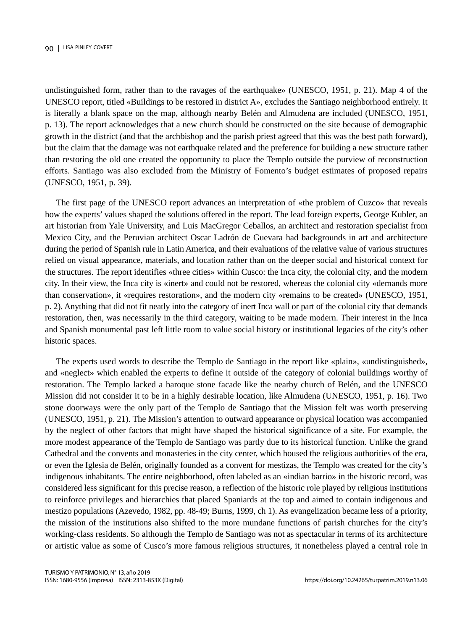undistinguished form, rather than to the ravages of the earthquake» (UNESCO, 1951, p. 21). Map 4 of the UNESCO report, titled «Buildings to be restored in district A», excludes the Santiago neighborhood entirely. It is literally a blank space on the map, although nearby Belén and Almudena are included (UNESCO, 1951, p. 13). The report acknowledges that a new church should be constructed on the site because of demographic growth in the district (and that the archbishop and the parish priest agreed that this was the best path forward), but the claim that the damage was not earthquake related and the preference for building a new structure rather than restoring the old one created the opportunity to place the Templo outside the purview of reconstruction efforts. Santiago was also excluded from the Ministry of Fomento's budget estimates of proposed repairs (UNESCO, 1951, p. 39).

The first page of the UNESCO report advances an interpretation of «the problem of Cuzco» that reveals how the experts' values shaped the solutions offered in the report. The lead foreign experts, George Kubler, an art historian from Yale University, and Luis MacGregor Ceballos, an architect and restoration specialist from Mexico City, and the Peruvian architect Oscar Ladrón de Guevara had backgrounds in art and architecture during the period of Spanish rule in Latin America, and their evaluations of the relative value of various structures relied on visual appearance, materials, and location rather than on the deeper social and historical context for the structures. The report identifies «three cities» within Cusco: the Inca city, the colonial city, and the modern city. In their view, the Inca city is «inert» and could not be restored, whereas the colonial city «demands more than conservation», it «requires restoration», and the modern city «remains to be created» (UNESCO, 1951, p. 2). Anything that did not fit neatly into the category of inert Inca wall or part of the colonial city that demands restoration, then, was necessarily in the third category, waiting to be made modern. Their interest in the Inca and Spanish monumental past left little room to value social history or institutional legacies of the city's other historic spaces.

The experts used words to describe the Templo de Santiago in the report like «plain», «undistinguished», and «neglect» which enabled the experts to define it outside of the category of colonial buildings worthy of restoration. The Templo lacked a baroque stone facade like the nearby church of Belén, and the UNESCO Mission did not consider it to be in a highly desirable location, like Almudena (UNESCO, 1951, p. 16). Two stone doorways were the only part of the Templo de Santiago that the Mission felt was worth preserving (UNESCO, 1951, p. 21). The Mission's attention to outward appearance or physical location was accompanied by the neglect of other factors that might have shaped the historical significance of a site. For example, the more modest appearance of the Templo de Santiago was partly due to its historical function. Unlike the grand Cathedral and the convents and monasteries in the city center, which housed the religious authorities of the era, or even the Iglesia de Belén, originally founded as a convent for mestizas, the Templo was created for the city's indigenous inhabitants. The entire neighborhood, often labeled as an «indian barrio» in the historic record, was considered less significant for this precise reason, a reflection of the historic role played by religious institutions to reinforce privileges and hierarchies that placed Spaniards at the top and aimed to contain indigenous and mestizo populations (Azevedo, 1982, pp. 48-49; Burns, 1999, ch 1). As evangelization became less of a priority, the mission of the institutions also shifted to the more mundane functions of parish churches for the city's working-class residents. So although the Templo de Santiago was not as spectacular in terms of its architecture or artistic value as some of Cusco's more famous religious structures, it nonetheless played a central role in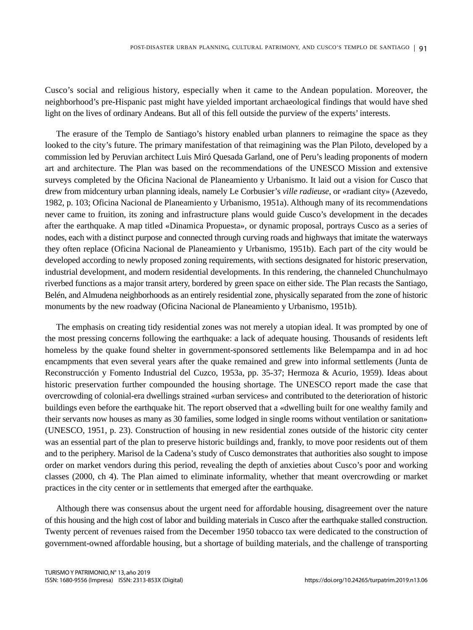Cusco's social and religious history, especially when it came to the Andean population. Moreover, the neighborhood's pre-Hispanic past might have yielded important archaeological findings that would have shed light on the lives of ordinary Andeans. But all of this fell outside the purview of the experts' interests.

The erasure of the Templo de Santiago's history enabled urban planners to reimagine the space as they looked to the city's future. The primary manifestation of that reimagining was the Plan Piloto, developed by a commission led by Peruvian architect Luis Miró Quesada Garland, one of Peru's leading proponents of modern art and architecture. The Plan was based on the recommendations of the UNESCO Mission and extensive surveys completed by the Oficina Nacional de Planeamiento y Urbanismo. It laid out a vision for Cusco that drew from midcentury urban planning ideals, namely Le Corbusier's *ville radieuse*, or «radiant city» (Azevedo, 1982, p. 103; Oficina Nacional de Planeamiento y Urbanismo, 1951a). Although many of its recommendations never came to fruition, its zoning and infrastructure plans would guide Cusco's development in the decades after the earthquake. A map titled «Dinamica Propuesta», or dynamic proposal, portrays Cusco as a series of nodes, each with a distinct purpose and connected through curving roads and highways that imitate the waterways they often replace (Oficina Nacional de Planeamiento y Urbanismo, 1951b). Each part of the city would be developed according to newly proposed zoning requirements, with sections designated for historic preservation, industrial development, and modern residential developments. In this rendering, the channeled Chunchulmayo riverbed functions as a major transit artery, bordered by green space on either side. The Plan recasts the Santiago, Belén, and Almudena neighborhoods as an entirely residential zone, physically separated from the zone of historic monuments by the new roadway (Oficina Nacional de Planeamiento y Urbanismo, 1951b).

The emphasis on creating tidy residential zones was not merely a utopian ideal. It was prompted by one of the most pressing concerns following the earthquake: a lack of adequate housing. Thousands of residents left homeless by the quake found shelter in government-sponsored settlements like Belempampa and in ad hoc encampments that even several years after the quake remained and grew into informal settlements (Junta de Reconstrucción y Fomento Industrial del Cuzco, 1953a, pp. 35-37; Hermoza & Acurio, 1959). Ideas about historic preservation further compounded the housing shortage. The UNESCO report made the case that overcrowding of colonial-era dwellings strained «urban services» and contributed to the deterioration of historic buildings even before the earthquake hit. The report observed that a «dwelling built for one wealthy family and their servants now houses as many as 30 families, some lodged in single rooms without ventilation or sanitation» (UNESCO, 1951, p. 23). Construction of housing in new residential zones outside of the historic city center was an essential part of the plan to preserve historic buildings and, frankly, to move poor residents out of them and to the periphery. Marisol de la Cadena's study of Cusco demonstrates that authorities also sought to impose order on market vendors during this period, revealing the depth of anxieties about Cusco's poor and working classes (2000, ch 4). The Plan aimed to eliminate informality, whether that meant overcrowding or market practices in the city center or in settlements that emerged after the earthquake.

Although there was consensus about the urgent need for affordable housing, disagreement over the nature of this housing and the high cost of labor and building materials in Cusco after the earthquake stalled construction. Twenty percent of revenues raised from the December 1950 tobacco tax were dedicated to the construction of government-owned affordable housing, but a shortage of building materials, and the challenge of transporting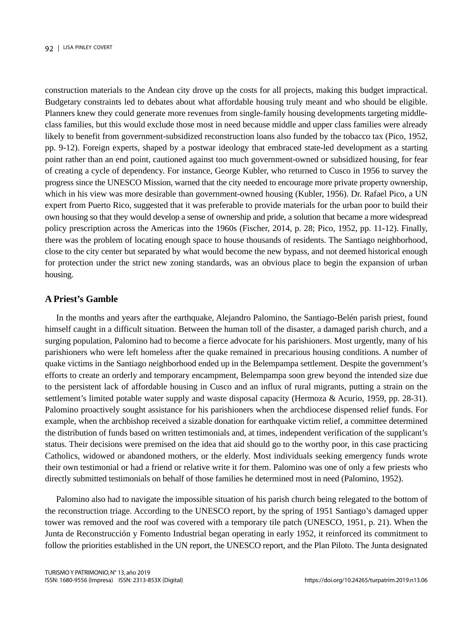construction materials to the Andean city drove up the costs for all projects, making this budget impractical. Budgetary constraints led to debates about what affordable housing truly meant and who should be eligible. Planners knew they could generate more revenues from single-family housing developments targeting middleclass families, but this would exclude those most in need because middle and upper class families were already likely to benefit from government-subsidized reconstruction loans also funded by the tobacco tax (Pico, 1952, pp. 9-12). Foreign experts, shaped by a postwar ideology that embraced state-led development as a starting point rather than an end point, cautioned against too much government-owned or subsidized housing, for fear of creating a cycle of dependency. For instance, George Kubler, who returned to Cusco in 1956 to survey the progress since the UNESCO Mission, warned that the city needed to encourage more private property ownership, which in his view was more desirable than government-owned housing (Kubler, 1956). Dr. Rafael Pico, a UN expert from Puerto Rico, suggested that it was preferable to provide materials for the urban poor to build their own housing so that they would develop a sense of ownership and pride, a solution that became a more widespread policy prescription across the Americas into the 1960s (Fischer, 2014, p. 28; Pico, 1952, pp. 11-12). Finally, there was the problem of locating enough space to house thousands of residents. The Santiago neighborhood, close to the city center but separated by what would become the new bypass, and not deemed historical enough for protection under the strict new zoning standards, was an obvious place to begin the expansion of urban housing.

### **A Priest's Gamble**

In the months and years after the earthquake, Alejandro Palomino, the Santiago-Belén parish priest, found himself caught in a difficult situation. Between the human toll of the disaster, a damaged parish church, and a surging population, Palomino had to become a fierce advocate for his parishioners. Most urgently, many of his parishioners who were left homeless after the quake remained in precarious housing conditions. A number of quake victims in the Santiago neighborhood ended up in the Belempampa settlement. Despite the government's efforts to create an orderly and temporary encampment, Belempampa soon grew beyond the intended size due to the persistent lack of affordable housing in Cusco and an influx of rural migrants, putting a strain on the settlement's limited potable water supply and waste disposal capacity (Hermoza & Acurio, 1959, pp. 28-31). Palomino proactively sought assistance for his parishioners when the archdiocese dispensed relief funds. For example, when the archbishop received a sizable donation for earthquake victim relief, a committee determined the distribution of funds based on written testimonials and, at times, independent verification of the supplicant's status. Their decisions were premised on the idea that aid should go to the worthy poor, in this case practicing Catholics, widowed or abandoned mothers, or the elderly. Most individuals seeking emergency funds wrote their own testimonial or had a friend or relative write it for them. Palomino was one of only a few priests who directly submitted testimonials on behalf of those families he determined most in need (Palomino, 1952).

Palomino also had to navigate the impossible situation of his parish church being relegated to the bottom of the reconstruction triage. According to the UNESCO report, by the spring of 1951 Santiago's damaged upper tower was removed and the roof was covered with a temporary tile patch (UNESCO, 1951, p. 21). When the Junta de Reconstrucción y Fomento Industrial began operating in early 1952, it reinforced its commitment to follow the priorities established in the UN report, the UNESCO report, and the Plan Piloto. The Junta designated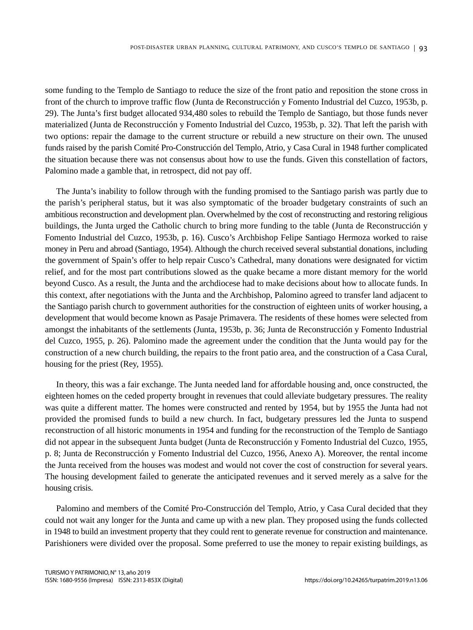some funding to the Templo de Santiago to reduce the size of the front patio and reposition the stone cross in front of the church to improve traffic flow (Junta de Reconstrucción y Fomento Industrial del Cuzco, 1953b, p. 29). The Junta's first budget allocated 934,480 soles to rebuild the Templo de Santiago, but those funds never materialized (Junta de Reconstrucción y Fomento Industrial del Cuzco, 1953b, p. 32). That left the parish with two options: repair the damage to the current structure or rebuild a new structure on their own. The unused funds raised by the parish Comité Pro-Construcción del Templo, Atrio, y Casa Cural in 1948 further complicated the situation because there was not consensus about how to use the funds. Given this constellation of factors, Palomino made a gamble that, in retrospect, did not pay off.

The Junta's inability to follow through with the funding promised to the Santiago parish was partly due to the parish's peripheral status, but it was also symptomatic of the broader budgetary constraints of such an ambitious reconstruction and development plan. Overwhelmed by the cost of reconstructing and restoring religious buildings, the Junta urged the Catholic church to bring more funding to the table (Junta de Reconstrucción y Fomento Industrial del Cuzco, 1953b, p. 16). Cusco's Archbishop Felipe Santiago Hermoza worked to raise money in Peru and abroad (Santiago, 1954). Although the church received several substantial donations, including the government of Spain's offer to help repair Cusco's Cathedral, many donations were designated for victim relief, and for the most part contributions slowed as the quake became a more distant memory for the world beyond Cusco. As a result, the Junta and the archdiocese had to make decisions about how to allocate funds. In this context, after negotiations with the Junta and the Archbishop, Palomino agreed to transfer land adjacent to the Santiago parish church to government authorities for the construction of eighteen units of worker housing, a development that would become known as Pasaje Primavera. The residents of these homes were selected from amongst the inhabitants of the settlements (Junta, 1953b, p. 36; Junta de Reconstrucción y Fomento Industrial del Cuzco, 1955, p. 26). Palomino made the agreement under the condition that the Junta would pay for the construction of a new church building, the repairs to the front patio area, and the construction of a Casa Cural, housing for the priest (Rey, 1955).

In theory, this was a fair exchange. The Junta needed land for affordable housing and, once constructed, the eighteen homes on the ceded property brought in revenues that could alleviate budgetary pressures. The reality was quite a different matter. The homes were constructed and rented by 1954, but by 1955 the Junta had not provided the promised funds to build a new church. In fact, budgetary pressures led the Junta to suspend reconstruction of all historic monuments in 1954 and funding for the reconstruction of the Templo de Santiago did not appear in the subsequent Junta budget (Junta de Reconstrucción y Fomento Industrial del Cuzco, 1955, p. 8; Junta de Reconstrucción y Fomento Industrial del Cuzco, 1956, Anexo A). Moreover, the rental income the Junta received from the houses was modest and would not cover the cost of construction for several years. The housing development failed to generate the anticipated revenues and it served merely as a salve for the housing crisis.

Palomino and members of the Comité Pro-Construcción del Templo, Atrio, y Casa Cural decided that they could not wait any longer for the Junta and came up with a new plan. They proposed using the funds collected in 1948 to build an investment property that they could rent to generate revenue for construction and maintenance. Parishioners were divided over the proposal. Some preferred to use the money to repair existing buildings, as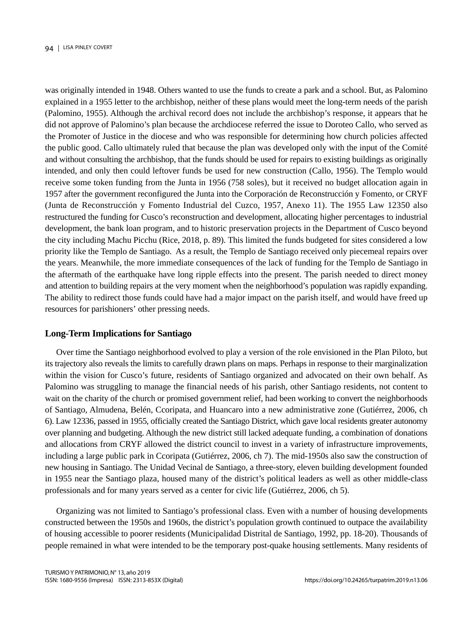was originally intended in 1948. Others wanted to use the funds to create a park and a school. But, as Palomino explained in a 1955 letter to the archbishop, neither of these plans would meet the long-term needs of the parish (Palomino, 1955). Although the archival record does not include the archbishop's response, it appears that he did not approve of Palomino's plan because the archdiocese referred the issue to Doroteo Callo, who served as the Promoter of Justice in the diocese and who was responsible for determining how church policies affected the public good. Callo ultimately ruled that because the plan was developed only with the input of the Comité and without consulting the archbishop, that the funds should be used for repairs to existing buildings as originally intended, and only then could leftover funds be used for new construction (Callo, 1956). The Templo would receive some token funding from the Junta in 1956 (758 soles), but it received no budget allocation again in 1957 after the government reconfigured the Junta into the Corporación de Reconstrucción y Fomento, or CRYF (Junta de Reconstrucción y Fomento Industrial del Cuzco, 1957, Anexo 11). The 1955 Law 12350 also restructured the funding for Cusco's reconstruction and development, allocating higher percentages to industrial development, the bank loan program, and to historic preservation projects in the Department of Cusco beyond the city including Machu Picchu (Rice, 2018, p. 89). This limited the funds budgeted for sites considered a low priority like the Templo de Santiago. As a result, the Templo de Santiago received only piecemeal repairs over the years. Meanwhile, the more immediate consequences of the lack of funding for the Templo de Santiago in the aftermath of the earthquake have long ripple effects into the present. The parish needed to direct money and attention to building repairs at the very moment when the neighborhood's population was rapidly expanding. The ability to redirect those funds could have had a major impact on the parish itself, and would have freed up resources for parishioners' other pressing needs.

#### **Long-Term Implications for Santiago**

Over time the Santiago neighborhood evolved to play a version of the role envisioned in the Plan Piloto, but its trajectory also reveals the limits to carefully drawn plans on maps. Perhaps in response to their marginalization within the vision for Cusco's future, residents of Santiago organized and advocated on their own behalf. As Palomino was struggling to manage the financial needs of his parish, other Santiago residents, not content to wait on the charity of the church or promised government relief, had been working to convert the neighborhoods of Santiago, Almudena, Belén, Ccoripata, and Huancaro into a new administrative zone (Gutiérrez, 2006, ch 6). Law 12336, passed in 1955, officially created the Santiago District, which gave local residents greater autonomy over planning and budgeting. Although the new district still lacked adequate funding, a combination of donations and allocations from CRYF allowed the district council to invest in a variety of infrastructure improvements, including a large public park in Ccoripata (Gutiérrez, 2006, ch 7). The mid-1950s also saw the construction of new housing in Santiago. The Unidad Vecinal de Santiago, a three-story, eleven building development founded in 1955 near the Santiago plaza, housed many of the district's political leaders as well as other middle-class professionals and for many years served as a center for civic life (Gutiérrez, 2006, ch 5).

Organizing was not limited to Santiago's professional class. Even with a number of housing developments constructed between the 1950s and 1960s, the district's population growth continued to outpace the availability of housing accessible to poorer residents (Municipalidad Distrital de Santiago, 1992, pp. 18-20). Thousands of people remained in what were intended to be the temporary post-quake housing settlements. Many residents of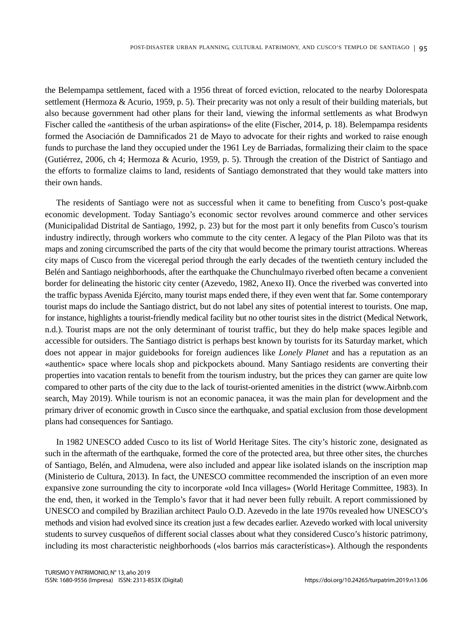the Belempampa settlement, faced with a 1956 threat of forced eviction, relocated to the nearby Dolorespata settlement (Hermoza & Acurio, 1959, p. 5). Their precarity was not only a result of their building materials, but also because government had other plans for their land, viewing the informal settlements as what Brodwyn Fischer called the «antithesis of the urban aspirations» of the elite (Fischer, 2014, p. 18). Belempampa residents formed the Asociación de Damnificados 21 de Mayo to advocate for their rights and worked to raise enough funds to purchase the land they occupied under the 1961 Ley de Barriadas, formalizing their claim to the space (Gutiérrez, 2006, ch 4; Hermoza & Acurio, 1959, p. 5). Through the creation of the District of Santiago and the efforts to formalize claims to land, residents of Santiago demonstrated that they would take matters into their own hands.

The residents of Santiago were not as successful when it came to benefiting from Cusco's post-quake economic development. Today Santiago's economic sector revolves around commerce and other services (Municipalidad Distrital de Santiago, 1992, p. 23) but for the most part it only benefits from Cusco's tourism industry indirectly, through workers who commute to the city center. A legacy of the Plan Piloto was that its maps and zoning circumscribed the parts of the city that would become the primary tourist attractions. Whereas city maps of Cusco from the viceregal period through the early decades of the twentieth century included the Belén and Santiago neighborhoods, after the earthquake the Chunchulmayo riverbed often became a convenient border for delineating the historic city center (Azevedo, 1982, Anexo II). Once the riverbed was converted into the traffic bypass Avenida Ejército, many tourist maps ended there, if they even went that far. Some contemporary tourist maps do include the Santiago district, but do not label any sites of potential interest to tourists. One map, for instance, highlights a tourist-friendly medical facility but no other tourist sites in the district (Medical Network, n.d.). Tourist maps are not the only determinant of tourist traffic, but they do help make spaces legible and accessible for outsiders. The Santiago district is perhaps best known by tourists for its Saturday market, which does not appear in major guidebooks for foreign audiences like *Lonely Planet* and has a reputation as an «authentic» space where locals shop and pickpockets abound. Many Santiago residents are converting their properties into vacation rentals to benefit from the tourism industry, but the prices they can garner are quite low compared to other parts of the city due to the lack of tourist-oriented amenities in the district (www.Airbnb.com search, May 2019). While tourism is not an economic panacea, it was the main plan for development and the primary driver of economic growth in Cusco since the earthquake, and spatial exclusion from those development plans had consequences for Santiago.

In 1982 UNESCO added Cusco to its list of World Heritage Sites. The city's historic zone, designated as such in the aftermath of the earthquake, formed the core of the protected area, but three other sites, the churches of Santiago, Belén, and Almudena, were also included and appear like isolated islands on the inscription map (Ministerio de Cultura, 2013). In fact, the UNESCO committee recommended the inscription of an even more expansive zone surrounding the city to incorporate «old Inca villages» (World Heritage Committee, 1983). In the end, then, it worked in the Templo's favor that it had never been fully rebuilt. A report commissioned by UNESCO and compiled by Brazilian architect Paulo O.D. Azevedo in the late 1970s revealed how UNESCO's methods and vision had evolved since its creation just a few decades earlier. Azevedo worked with local university students to survey cusqueños of different social classes about what they considered Cusco's historic patrimony, including its most characteristic neighborhoods («los barrios más características»). Although the respondents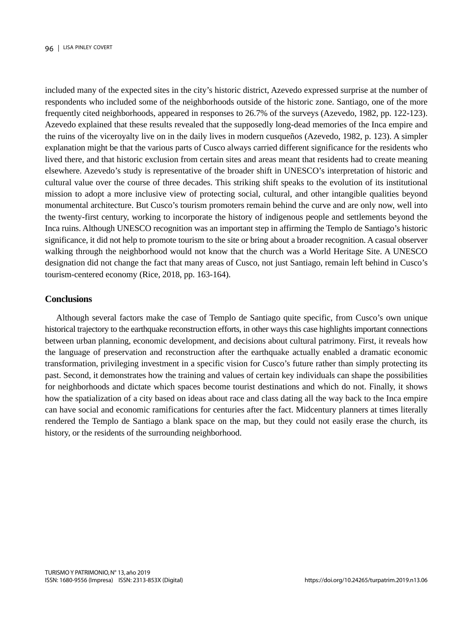included many of the expected sites in the city's historic district, Azevedo expressed surprise at the number of respondents who included some of the neighborhoods outside of the historic zone. Santiago, one of the more frequently cited neighborhoods, appeared in responses to 26.7% of the surveys (Azevedo, 1982, pp. 122-123). Azevedo explained that these results revealed that the supposedly long-dead memories of the Inca empire and the ruins of the viceroyalty live on in the daily lives in modern cusqueños (Azevedo, 1982, p. 123). A simpler explanation might be that the various parts of Cusco always carried different significance for the residents who lived there, and that historic exclusion from certain sites and areas meant that residents had to create meaning elsewhere. Azevedo's study is representative of the broader shift in UNESCO's interpretation of historic and cultural value over the course of three decades. This striking shift speaks to the evolution of its institutional mission to adopt a more inclusive view of protecting social, cultural, and other intangible qualities beyond monumental architecture. But Cusco's tourism promoters remain behind the curve and are only now, well into the twenty-first century, working to incorporate the history of indigenous people and settlements beyond the Inca ruins. Although UNESCO recognition was an important step in affirming the Templo de Santiago's historic significance, it did not help to promote tourism to the site or bring about a broader recognition. A casual observer walking through the neighborhood would not know that the church was a World Heritage Site. A UNESCO designation did not change the fact that many areas of Cusco, not just Santiago, remain left behind in Cusco's tourism-centered economy (Rice, 2018, pp. 163-164).

#### **Conclusions**

Although several factors make the case of Templo de Santiago quite specific, from Cusco's own unique historical trajectory to the earthquake reconstruction efforts, in other ways this case highlights important connections between urban planning, economic development, and decisions about cultural patrimony. First, it reveals how the language of preservation and reconstruction after the earthquake actually enabled a dramatic economic transformation, privileging investment in a specific vision for Cusco's future rather than simply protecting its past. Second, it demonstrates how the training and values of certain key individuals can shape the possibilities for neighborhoods and dictate which spaces become tourist destinations and which do not. Finally, it shows how the spatialization of a city based on ideas about race and class dating all the way back to the Inca empire can have social and economic ramifications for centuries after the fact. Midcentury planners at times literally rendered the Templo de Santiago a blank space on the map, but they could not easily erase the church, its history, or the residents of the surrounding neighborhood.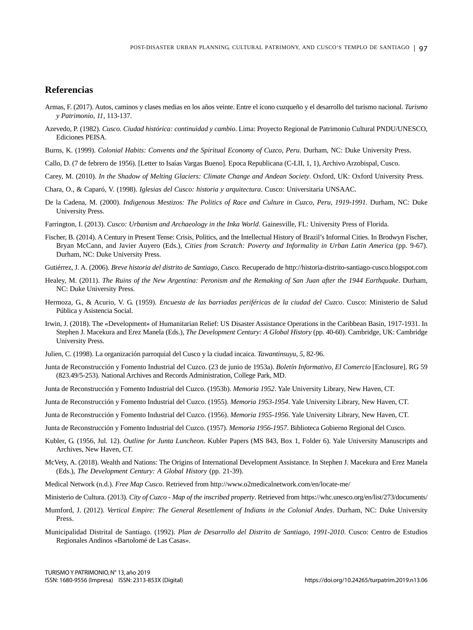### **Referencias**

- Armas, F. (2017). Autos, caminos y clases medias en los años veinte. Entre el ícono cuzqueño y el desarrollo del turismo nacional. *Turismo y Patrimonio*, *11*, 113-137.
- Azevedo, P. (1982). *Cusco. Ciudad histórica: continuidad y cambio*. Lima: Proyecto Regional de Patrimonio Cultural PNDU/UNESCO, Ediciones PEISA.
- Burns, K. (1999). *Colonial Habits: Convents and the Spiritual Economy of Cuzco, Peru*. Durham, NC: Duke University Press.
- Callo, D. (7 de febrero de 1956). [Letter to Isaías Vargas Bueno]. Epoca Republicana (C-LII, 1, 1), Archivo Arzobispal, Cusco.
- Carey, M. (2010). *In the Shadow of Melting Glaciers: Climate Change and Andean Society*. Oxford, UK: Oxford University Press.
- Chara, O., & Caparó, V. (1998). *Iglesias del Cusco: historia y arquitectura*. Cusco: Universitaria UNSAAC.
- De la Cadena, M. (2000). *Indigenous Mestizos: The Politics of Race and Culture in Cuzco, Peru, 1919-1991*. Durham, NC: Duke University Press.
- Farrington, I. (2013). *Cusco: Urbanism and Archaeology in the Inka World*. Gainesville, FL: University Press of Florida.
- Fischer, B. (2014). A Century in Present Tense: Crisis, Politics, and the Intellectual History of Brazil's Informal Cities. In Brodwyn Fischer, Bryan McCann, and Javier Auyero (Eds.), *Cities from Scratch: Poverty and Informality in Urban Latin America* (pp. 9-67). Durham, NC: Duke University Press.
- Gutiérrez, J. A. (2006). *Breve historia del distrito de Santiago, Cusco.* Recuperado de http://historia-distrito-santiago-cusco.blogspot.com
- Healey, M. (2011). *The Ruins of the New Argentina: Peronism and the Remaking of San Juan after the 1944 Earthquake*. Durham, NC: Duke University Press.
- Hermoza, G., & Acurio, V. G. (1959). *Encuesta de las barriadas periféricas de la ciudad del Cuzco*. Cusco: Ministerio de Salud Pública y Asistencia Social.
- Irwin, J. (2018). The «Development» of Humanitarian Relief: US Disaster Assistance Operations in the Caribbean Basin, 1917-1931. In Stephen J. Macekura and Erez Manela (Eds.), *The Development Century: A Global History* (pp. 40-60). Cambridge, UK: Cambridge University Press.
- Julien, C. (1998). La organización parroquial del Cusco y la ciudad incaica. *Tawantinsuyu, 5*, 82-96.
- Junta de Reconstrucción y Fomento Industrial del Cuzco. (23 de junio de 1953a). *Boletín Informativo, El Comercio* [Enclosure]. RG 59 (823.49/5-253). National Archives and Records Administration, College Park, MD.
- Junta de Reconstrucción y Fomento Industrial del Cuzco. (1953b). *Memoria 1952*. Yale University Library, New Haven, CT.
- Junta de Reconstrucción y Fomento Industrial del Cuzco. (1955). *Memoria 1953-1954*. Yale University Library, New Haven, CT.
- Junta de Reconstrucción y Fomento Industrial del Cuzco. (1956). *Memoria 1955-1956*. Yale University Library, New Haven, CT.
- Junta de Reconstrucción y Fomento Industrial del Cuzco. (1957). *Memoria 1956-1957*. Biblioteca Gobierno Regional del Cusco.
- Kubler, G. (1956, Jul. 12). *Outline for Junta Luncheon.* Kubler Papers (MS 843, Box 1, Folder 6). Yale University Manuscripts and Archives, New Haven, CT.
- McVety, A. (2018). Wealth and Nations: The Origins of International Development Assistance. In Stephen J. Macekura and Erez Manela (Eds.), *The Development Century: A Global History* (pp. 21-39).
- Medical Network (n.d.). *Free Map Cusco*. Retrieved from http://www.o2medicalnetwork.com/en/locate-me/
- Ministerio de Cultura. (2013). *City of Cuzco Map of the inscribed property*. Retrieved from https://whc.unesco.org/en/list/273/documents/
- Mumford, J. (2012). *Vertical Empire: The General Resettlement of Indians in the Colonial Andes*. Durham, NC: Duke University Press.
- Municipalidad Distrital de Santiago. (1992). *Plan de Desarrollo del Distrito de Santiago, 1991-2010*. Cusco: Centro de Estudios Regionales Andinos «Bartolomé de Las Casas».